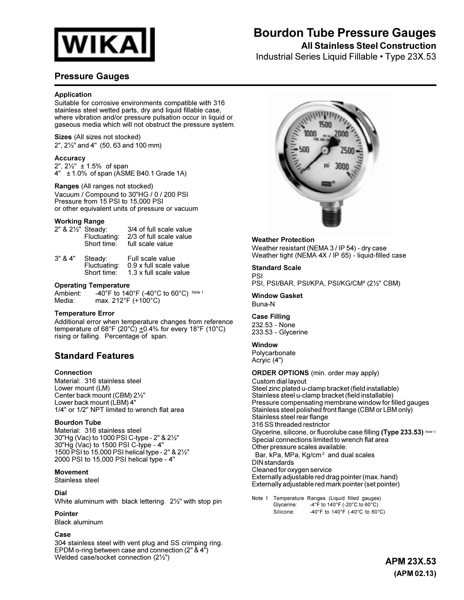

# **Bourdon Tube Pressure Gauges**

## **All Stainless Steel Construction**

Industrial Series Liquid Fillable Type 23X.53

## **Pressure Gauges**

#### **Application**

Suitable for corrosive environments compatible with 316 stainless steel wetted parts, dry and liquid fillable case, where vibration and/or pressure pulsation occur in liquid or gaseous media which will not obstruct the pressure system.

**Sizes** (All sizes not stocked) 2", 2½" and 4" (50, 63 and 100 mm)

#### **Accuracy**

2", 2½" ± 1.5% of span 4" ± 1.0% of span (ASME B40.1 Grade 1A)

**Ranges** (All ranges not stocked) Vacuum / Compound to 30"HG / 0 / 200 PSI Pressure from 15 PSI to 15,000 PSI or other equivalent units of pressure or vacuum

# Working Range<br>2" & 2<sup>1</sup>/<sub>2</sub>" Steady:

Steady: 3/4 of full scale value<br>Fluctuating: 2/3 of full scale value 2/3 of full scale value Short time: full scale value

| 3" & 4" | Steady:      | Full scale value       |  |  |  |  |  |  |
|---------|--------------|------------------------|--|--|--|--|--|--|
|         | Fluctuating: | 0.9 x full scale value |  |  |  |  |  |  |
|         | Short time:  | 1.3 x full scale value |  |  |  |  |  |  |

#### **Operating Temperature**

Ambient:  $-40^{\circ}$ F to 140°F (-40°C to 60°C) Note 1<br>Media: max. 212°F (+100°C) max. 212°F (+100°C)

#### **Temperature Error**

Additional error when temperature changes from reference temperature of 68°F (20°C)  $\pm$ 0.4% for every 18°F (10°C) rising or falling. Percentage of span.

## **Standard Features**

#### **Connection**

Material: 316 stainless steel Lower mount (LM) Center back mount (CBM) 2½" Lower back mount (LBM) 4" 1/4" or 1/2" NPT limited to wrench flat area

#### **Bourdon Tube**

Material: 316 stainless steel 30"Hg (Vac) to 1000 PSI C-type - 2" & 2½" 30"Hg (Vac) to 1500 PSI C-type - 4" 1500 PSI to 15,000 PSI helical type - 2" & 2½" 2000 PSI to 15,000 PSI helical type - 4"

#### **Movement**

Stainless steel

#### **Dial**

White aluminum with black lettering. 2½" with stop pin

#### **Pointer**

Black aluminum

#### **Case**

304 stainless steel with vent plug and SS crimping ring. EPDM o-ring between case and connection (2" & 4") Welded case/socket connection (2½")



#### **Weather Protection**

Weather resistant (NEMA 3 / IP 54) - dry case Weather tight (NEMA 4X / IP 65) - liquid-filled case

#### **Standard Scale**

PSI PSI, PSI/BAR, PSI/KPA, PSI/KG/CM² (2½" CBM)

**Window Gasket** Buna-N

#### **Case Filling**

232.53 - None 233.53 - Glycerine

#### **Window**

Polycarbonate Acryic (4")

#### **ORDER OPTIONS** (min. order may apply)

Custom dial layout Steel zinc plated u-clamp bracket (field installable) Stainless steel u-clamp bracket (field installable) Pressure compensating membrane window for filled gauges Stainless steel polished front flange (CBM or LBM only) Stainless steel rear flange 316 SS threaded restrictor Glycerine, silicone, or fluorolube case filling **(Type 233.53)** (Note 1) Special connections limited to wrench flat area Other pressure scales available: Bar, kPa, MPa, Kg/cm<sup>2</sup> and dual scales DIN standards Cleaned for oxygen service Externally adjustable red drag pointer (max. hand) Externally adjustable red mark pointer (set pointer)

Note 1 Temperature Ranges (Liquid filled gauges)<br>Glycerine: -4°F to 140°F (-20°C to 60°C) Glycerine:  $-4^{\circ}$ F to 140°F (-20°C to 60°C)<br>Silicone:  $-40^{\circ}$ F to 140°F (-40°C to 60° -40°F to 140°F (-40°C to 60°C)